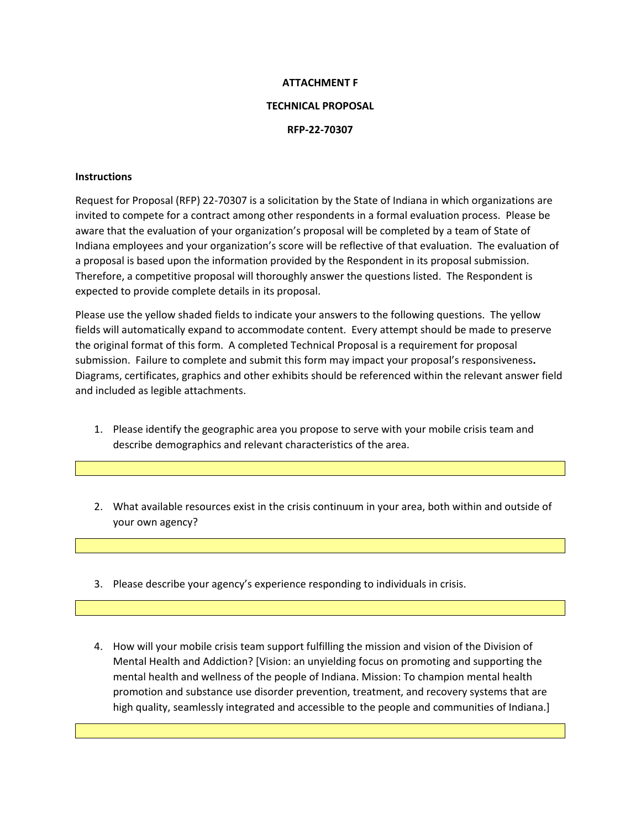## **ATTACHMENT F**

## **TECHNICAL PROPOSAL**

## **RFP-22-70307**

## **Instructions**

Request for Proposal (RFP) 22-70307 is a solicitation by the State of Indiana in which organizations are invited to compete for a contract among other respondents in a formal evaluation process. Please be aware that the evaluation of your organization's proposal will be completed by a team of State of Indiana employees and your organization's score will be reflective of that evaluation. The evaluation of a proposal is based upon the information provided by the Respondent in its proposal submission. Therefore, a competitive proposal will thoroughly answer the questions listed. The Respondent is expected to provide complete details in its proposal.

Please use the yellow shaded fields to indicate your answers to the following questions. The yellow fields will automatically expand to accommodate content. Every attempt should be made to preserve the original format of this form. A completed Technical Proposal is a requirement for proposal submission. Failure to complete and submit this form may impact your proposal's responsiveness**.** Diagrams, certificates, graphics and other exhibits should be referenced within the relevant answer field and included as legible attachments.

- 1. Please identify the geographic area you propose to serve with your mobile crisis team and describe demographics and relevant characteristics of the area.
- 2. What available resources exist in the crisis continuum in your area, both within and outside of your own agency?
- 3. Please describe your agency's experience responding to individuals in crisis.
- 4. How will your mobile crisis team support fulfilling the mission and vision of the Division of Mental Health and Addiction? [Vision: an unyielding focus on promoting and supporting the mental health and wellness of the people of Indiana. Mission: To champion mental health promotion and substance use disorder prevention, treatment, and recovery systems that are high quality, seamlessly integrated and accessible to the people and communities of Indiana.]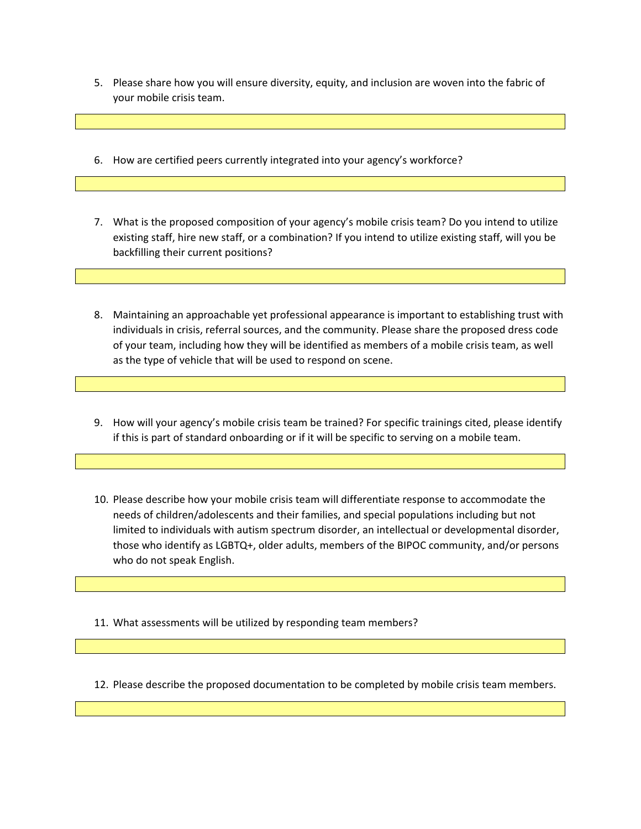- 5. Please share how you will ensure diversity, equity, and inclusion are woven into the fabric of your mobile crisis team.
- 6. How are certified peers currently integrated into your agency's workforce?
- 7. What is the proposed composition of your agency's mobile crisis team? Do you intend to utilize existing staff, hire new staff, or a combination? If you intend to utilize existing staff, will you be backfilling their current positions?
- 8. Maintaining an approachable yet professional appearance is important to establishing trust with individuals in crisis, referral sources, and the community. Please share the proposed dress code of your team, including how they will be identified as members of a mobile crisis team, as well as the type of vehicle that will be used to respond on scene.
- 9. How will your agency's mobile crisis team be trained? For specific trainings cited, please identify if this is part of standard onboarding or if it will be specific to serving on a mobile team.
- 10. Please describe how your mobile crisis team will differentiate response to accommodate the needs of children/adolescents and their families, and special populations including but not limited to individuals with autism spectrum disorder, an intellectual or developmental disorder, those who identify as LGBTQ+, older adults, members of the BIPOC community, and/or persons who do not speak English.

11. What assessments will be utilized by responding team members?

12. Please describe the proposed documentation to be completed by mobile crisis team members.